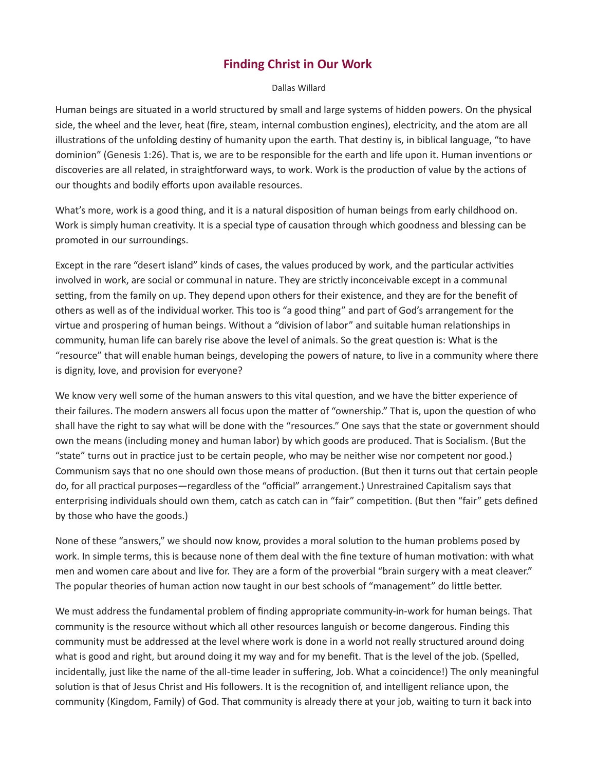## Finding Christ in Our Work

Dallas Willard

Human beings are situated in a world structured by small and large systems of hidden powers. On the physical side, the wheel and the lever, heat (fire, steam, internal combustion engines), electricity, and the atom are all illustrations of the unfolding destiny of humanity upon the earth. That destiny is, in biblical language, "to have dominion" (Genesis 1:26). That is, we are to be responsible for the earth and life upon it. Human inventions or discoveries are all related, in straightforward ways, to work. Work is the production of value by the actions of our thoughts and bodily efforts upon available resources.

What's more, work is a good thing, and it is a natural disposition of human beings from early childhood on. Work is simply human creativity. It is a special type of causation through which goodness and blessing can be promoted in our surroundings.

Except in the rare "desert island" kinds of cases, the values produced by work, and the particular activities involved in work, are social or communal in nature. They are strictly inconceivable except in a communal setting, from the family on up. They depend upon others for their existence, and they are for the benefit of others as well as of the individual worker. This too is "a good thing" and part of God's arrangement for the virtue and prospering of human beings. Without a "division of labor" and suitable human relationships in community, human life can barely rise above the level of animals. So the great question is: What is the "resource" that will enable human beings, developing the powers of nature, to live in a community where there is dignity, love, and provision for everyone?

We know very well some of the human answers to this vital question, and we have the bitter experience of their failures. The modern answers all focus upon the matter of "ownership." That is, upon the question of who shall have the right to say what will be done with the "resources." One says that the state or government should own the means (including money and human labor) by which goods are produced. That is Socialism. (But the "state" turns out in practice just to be certain people, who may be neither wise nor competent nor good.) Communism says that no one should own those means of production. (But then it turns out that certain people do, for all practical purposes—regardless of the "official" arrangement.) Unrestrained Capitalism says that enterprising individuals should own them, catch as catch can in "fair" competition. (But then "fair" gets defined by those who have the goods.)

None of these "answers," we should now know, provides a moral solution to the human problems posed by work. In simple terms, this is because none of them deal with the fine texture of human motivation: with what men and women care about and live for. They are a form of the proverbial "brain surgery with a meat cleaver." The popular theories of human action now taught in our best schools of "management" do little better.

We must address the fundamental problem of finding appropriate community-in-work for human beings. That community is the resource without which all other resources languish or become dangerous. Finding this community must be addressed at the level where work is done in a world not really structured around doing what is good and right, but around doing it my way and for my benefit. That is the level of the job. (Spelled, incidentally, just like the name of the all-time leader in suffering, Job. What a coincidence!) The only meaningful solution is that of Jesus Christ and His followers. It is the recognition of, and intelligent reliance upon, the community (Kingdom, Family) of God. That community is already there at your job, waiting to turn it back into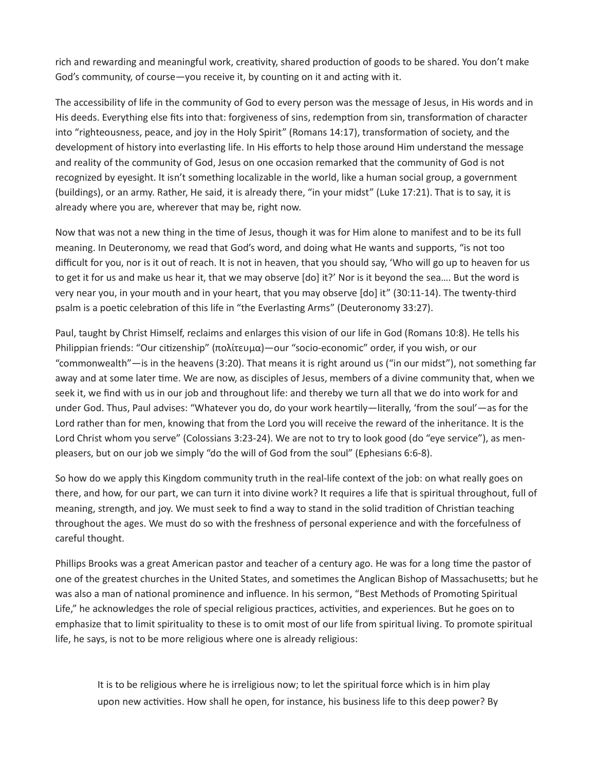rich and rewarding and meaningful work, creativity, shared production of goods to be shared. You don't make God's community, of course—you receive it, by counting on it and acting with it.

The accessibility of life in the community of God to every person was the message of Jesus, in His words and in His deeds. Everything else fits into that: forgiveness of sins, redemption from sin, transformation of character into "righteousness, peace, and joy in the Holy Spirit" (Romans 14:17), transformation of society, and the development of history into everlasting life. In His efforts to help those around Him understand the message and reality of the community of God, Jesus on one occasion remarked that the community of God is not recognized by eyesight. It isn't something localizable in the world, like a human social group, a government (buildings), or an army. Rather, He said, it is already there, "in your midst" (Luke 17:21). That is to say, it is already where you are, wherever that may be, right now.

Now that was not a new thing in the time of Jesus, though it was for Him alone to manifest and to be its full meaning. In Deuteronomy, we read that God's word, and doing what He wants and supports, "is not too difficult for you, nor is it out of reach. It is not in heaven, that you should say, 'Who will go up to heaven for us to get it for us and make us hear it, that we may observe [do] it?' Nor is it beyond the sea…. But the word is very near you, in your mouth and in your heart, that you may observe [do] it" (30:11-14). The twenty-third psalm is a poetic celebration of this life in "the Everlasting Arms" (Deuteronomy 33:27).

Paul, taught by Christ Himself, reclaims and enlarges this vision of our life in God (Romans 10:8). He tells his Philippian friends: "Our citizenship" (πολίτευμα)—our "socio-economic" order, if you wish, or our "commonwealth"—is in the heavens (3:20). That means it is right around us ("in our midst"), not something far away and at some later time. We are now, as disciples of Jesus, members of a divine community that, when we seek it, we find with us in our job and throughout life: and thereby we turn all that we do into work for and under God. Thus, Paul advises: "Whatever you do, do your work heartily—literally, 'from the soul'—as for the Lord rather than for men, knowing that from the Lord you will receive the reward of the inheritance. It is the Lord Christ whom you serve" (Colossians 3:23-24). We are not to try to look good (do "eye service"), as menpleasers, but on our job we simply "do the will of God from the soul" (Ephesians 6:6-8).

So how do we apply this Kingdom community truth in the real-life context of the job: on what really goes on there, and how, for our part, we can turn it into divine work? It requires a life that is spiritual throughout, full of meaning, strength, and joy. We must seek to find a way to stand in the solid tradition of Christian teaching throughout the ages. We must do so with the freshness of personal experience and with the forcefulness of careful thought.

Phillips Brooks was a great American pastor and teacher of a century ago. He was for a long time the pastor of one of the greatest churches in the United States, and sometimes the Anglican Bishop of Massachusetts; but he was also a man of national prominence and influence. In his sermon, "Best Methods of Promoting Spiritual Life," he acknowledges the role of special religious practices, activities, and experiences. But he goes on to emphasize that to limit spirituality to these is to omit most of our life from spiritual living. To promote spiritual life, he says, is not to be more religious where one is already religious:

It is to be religious where he is irreligious now; to let the spiritual force which is in him play upon new activities. How shall he open, for instance, his business life to this deep power? By